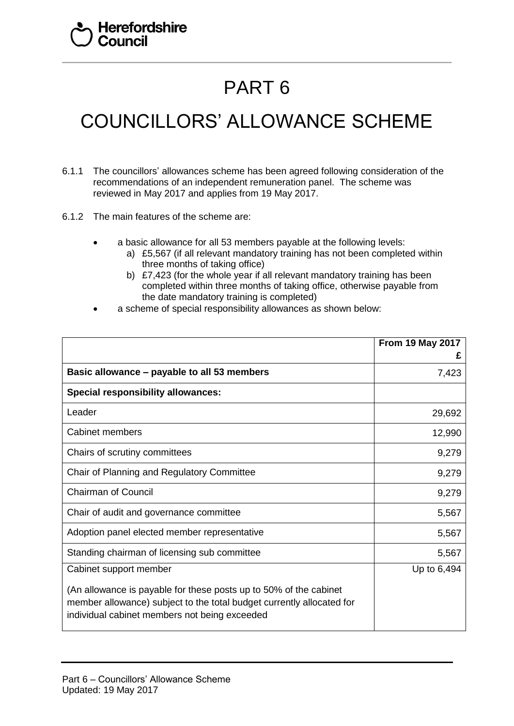## PART 6

## COUNCILLORS' ALLOWANCE SCHEME

- 6.1.1 The councillors' allowances scheme has been agreed following consideration of the recommendations of an independent remuneration panel. The scheme was reviewed in May 2017 and applies from 19 May 2017.
- 6.1.2 The main features of the scheme are:
	- a basic allowance for all 53 members payable at the following levels:
		- a) £5,567 (if all relevant mandatory training has not been completed within three months of taking office)
		- b) £7,423 (for the whole year if all relevant mandatory training has been completed within three months of taking office, otherwise payable from the date mandatory training is completed)
	- a scheme of special responsibility allowances as shown below:

|                                                                                                                                                                                             | <b>From 19 May 2017</b><br>£ |
|---------------------------------------------------------------------------------------------------------------------------------------------------------------------------------------------|------------------------------|
| Basic allowance – payable to all 53 members                                                                                                                                                 | 7,423                        |
| <b>Special responsibility allowances:</b>                                                                                                                                                   |                              |
| Leader                                                                                                                                                                                      | 29,692                       |
| <b>Cabinet members</b>                                                                                                                                                                      | 12,990                       |
| Chairs of scrutiny committees                                                                                                                                                               | 9,279                        |
| Chair of Planning and Regulatory Committee                                                                                                                                                  | 9,279                        |
| <b>Chairman of Council</b>                                                                                                                                                                  | 9,279                        |
| Chair of audit and governance committee                                                                                                                                                     | 5,567                        |
| Adoption panel elected member representative                                                                                                                                                | 5,567                        |
| Standing chairman of licensing sub committee                                                                                                                                                | 5,567                        |
| Cabinet support member                                                                                                                                                                      | Up to 6,494                  |
| (An allowance is payable for these posts up to 50% of the cabinet<br>member allowance) subject to the total budget currently allocated for<br>individual cabinet members not being exceeded |                              |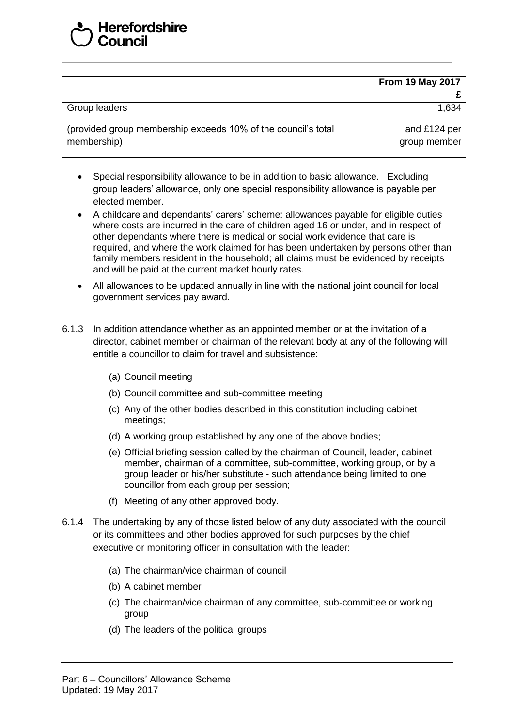|                                                                              | <b>From 19 May 2017</b>      |
|------------------------------------------------------------------------------|------------------------------|
|                                                                              |                              |
| Group leaders                                                                | 1,634                        |
| (provided group membership exceeds 10% of the council's total<br>membership) | and £124 per<br>group member |

- Special responsibility allowance to be in addition to basic allowance. Excluding group leaders' allowance, only one special responsibility allowance is payable per elected member.
- A childcare and dependants' carers' scheme: allowances payable for eligible duties where costs are incurred in the care of children aged 16 or under, and in respect of other dependants where there is medical or social work evidence that care is required, and where the work claimed for has been undertaken by persons other than family members resident in the household; all claims must be evidenced by receipts and will be paid at the current market hourly rates.
- All allowances to be updated annually in line with the national joint council for local government services pay award.
- 6.1.3 In addition attendance whether as an appointed member or at the invitation of a director, cabinet member or chairman of the relevant body at any of the following will entitle a councillor to claim for travel and subsistence:
	- (a) Council meeting
	- (b) Council committee and sub-committee meeting
	- (c) Any of the other bodies described in this constitution including cabinet meetings;
	- (d) A working group established by any one of the above bodies;
	- (e) Official briefing session called by the chairman of Council, leader, cabinet member, chairman of a committee, sub-committee, working group, or by a group leader or his/her substitute - such attendance being limited to one councillor from each group per session;
	- (f) Meeting of any other approved body.
- 6.1.4 The undertaking by any of those listed below of any duty associated with the council or its committees and other bodies approved for such purposes by the chief executive or monitoring officer in consultation with the leader:
	- (a) The chairman/vice chairman of council
	- (b) A cabinet member
	- (c) The chairman/vice chairman of any committee, sub-committee or working group
	- (d) The leaders of the political groups